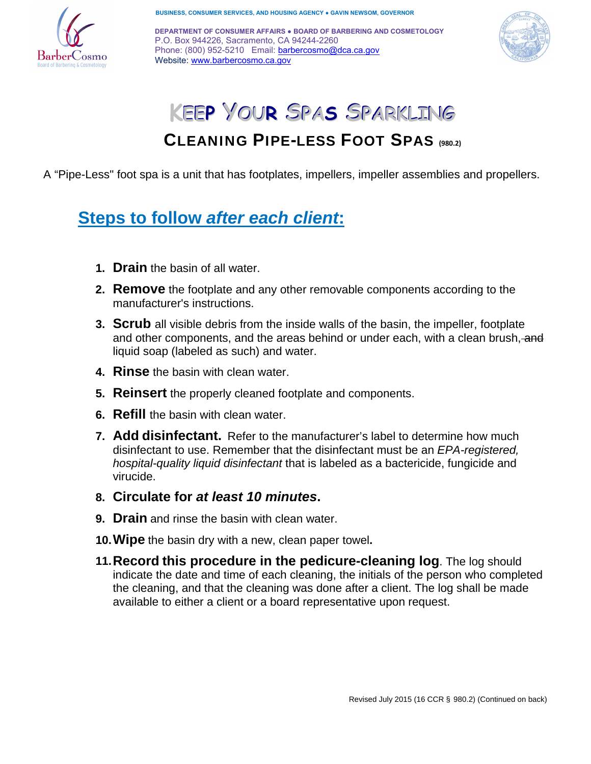

**BUSINESS, CONSUMER SERVICES, AND HOUSING AGENCY ● GAVIN NEWSOM, GOVERNOR** 

**DEPARTMENT OF CONSUMER AFFAIRS ● BOARD OF BARBERING AND COSMETOLOGY** P.O. Box 944226, Sacramento, CA 94244-2260 Phone: (800) 952-5210 Email: barbercosmo@dca.ca.gov Website: www.barbercosmo.ca.gov



# **KEEP YOUR SPAS SPARKLING**

## CLEANING PIPE-LESS FOOT SPAS **(980.2)**

A "Pipe-Less" foot spa is a unit that has footplates, impellers, impeller assemblies and propellers.

# **Steps to follow** *after each client***:**

- **1. Drain** the basin of all water.
- **2. Remove** the footplate and any other removable components according to the manufacturer's instructions.
- **3. Scrub** all visible debris from the inside walls of the basin, the impeller, footplate and other components, and the areas behind or under each, with a clean brush, and liquid soap (labeled as such) and water.
- **4. Rinse** the basin with clean water.
- **5. Reinsert** the properly cleaned footplate and components.
- **6. Refill** the basin with clean water.
- **7. Add disinfectant.** Refer to the manufacturer's label to determine how much disinfectant to use. Remember that the disinfectant must be an *EPA-registered, hospital-quality liquid disinfectant* that is labeled as a bactericide, fungicide and virucide.
- **8. Circulate for** *at least 10 minutes***.**
- **9. Drain** and rinse the basin with clean water.
- **10.Wipe** the basin dry with a new, clean paper towel**.**
- **11.Record this procedure in the pedicure-cleaning log**. The log should indicate the date and time of each cleaning, the initials of the person who completed the cleaning, and that the cleaning was done after a client. The log shall be made available to either a client or a board representative upon request.